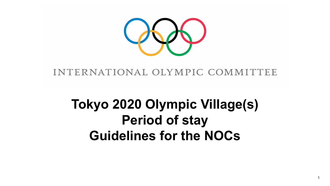

#### INTERNATIONAL OLYMPIC COMMITTEE

## **Tokyo 2020 Olympic Village(s) Period of stay Guidelines for the NOCs**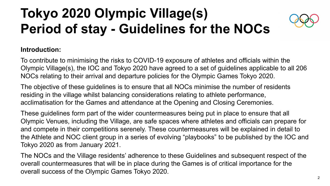# **Tokyo 2020 Olympic Village(s) Period of stay - Guidelines for the NOCs**



#### **Introduction:**

To contribute to minimising the risks to COVID-19 exposure of athletes and officials within the Olympic Village(s), the IOC and Tokyo 2020 have agreed to a set of guidelines applicable to all 206 NOCs relating to their arrival and departure policies for the Olympic Games Tokyo 2020.

The objective of these guidelines is to ensure that all NOCs minimise the number of residents residing in the village whilst balancing considerations relating to athlete performance, acclimatisation for the Games and attendance at the Opening and Closing Ceremonies.

These guidelines form part of the wider countermeasures being put in place to ensure that all Olympic Venues, including the Village, are safe spaces where athletes and officials can prepare for and compete in their competitions serenely. These countermeasures will be explained in detail to the Athlete and NOC client group in a series of evolving "playbooks" to be published by the IOC and Tokyo 2020 as from January 2021.

The NOCs and the Village residents' adherence to these Guidelines and subsequent respect of the overall countermeasures that will be in place during the Games is of critical importance for the overall success of the Olympic Games Tokyo 2020.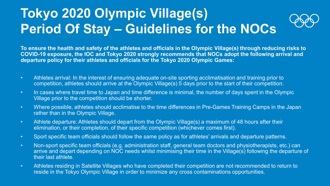### **Tokyo 2020 Olympic Village(s) Period Of Stay – Guidelines for the NOCs**

**To ensure the health and safety of the athletes and officials in the Olympic Village(s) through reducing risks to COVID-19 exposure, the IOC and Tokyo 2020 strongly recommends that NOCs adopt the following arrival and departure policy for their athletes and officials for the Tokyo 2020 Olympic Games:** 

- Athletes arrival: In the interest of ensuring adequate on-site sporting acclimatisation and training prior to competition, athletes should arrive at the Olympic Village(s) 5 days prior to the start of their competition.
- In cases where travel time to Japan and time difference is minimal, the number of days spent in the Olympic Village prior to the competition should be shorter.
- Where possible, athletes should acclimatise to the time differences in Pre-Games Training Camps in the Japan rather than in the Olympic Village.
- Athlete departure: Athletes should depart from the Olympic Village(s) a maximum of 48 hours after their elimination, or their completion, of their specific competition (whichever comes first).
- Sport specific team officials should follow the same policy as for athletes' arrivals and departure patterns.
- Non-sport specific team officials (e.g. administration staff, general team doctors and physiotherapists, etc.) can arrive and depart depending on NOC needs whilst minimising their time in the Village(s) following the departure of their last athlete.
- Athletes residing in Satellite Villages who have completed their competition are not recommended to return to reside in the Tokyo Olympic Village in order to minimize any cross contaminations opportunities.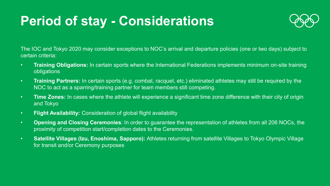### **Period of stay - Considerations**



The IOC and Tokyo 2020 may consider exceptions to NOC's arrival and departure policies (one or two days) subject to certain criteria:

- **Training Obligations:** In certain sports where the International Federations implements minimum on-site training obligations
- **Training Partners:** In certain sports (e.g. combat, racquet, etc.) eliminated athletes may still be required by the NOC to act as a sparring/training partner for team members still competing.
- **Time Zones:** In cases where the athlete will experience a significant time zone difference with their city of origin and Tokyo
- **Flight Availability:** Consideration of global flight availability
- **Opening and Closing Ceremonies**: In order to guarantee the representation of athletes from all 206 NOCs, the proximity of competition start/completion dates to the Ceremonies.
- **Satellite Villages (Izu, Enoshima, Sapporo):** Athletes returning from satellite Villages to Tokyo Olympic Village for transit and/or Ceremony purposes